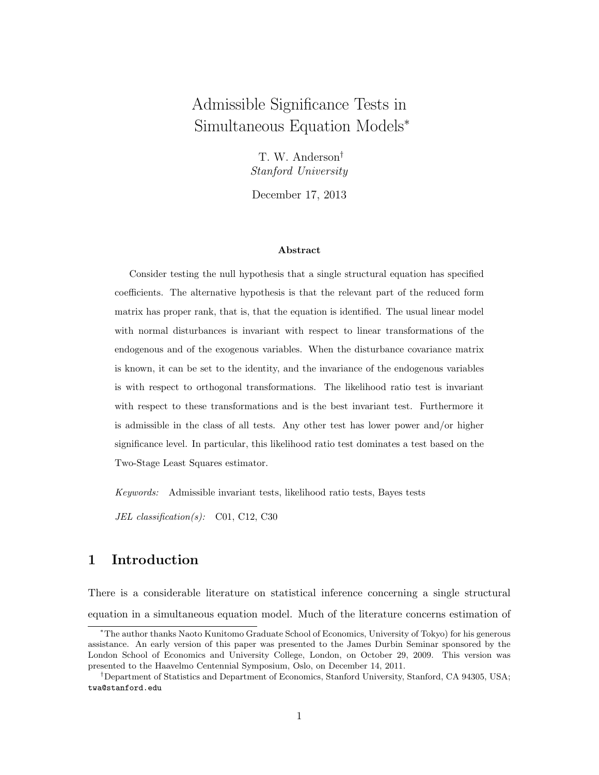# Admissible Significance Tests in Simultaneous Equation Models<sup>∗</sup>

T. W. Anderson† Stanford University

December 17, 2013

#### Abstract

Consider testing the null hypothesis that a single structural equation has specified coefficients. The alternative hypothesis is that the relevant part of the reduced form matrix has proper rank, that is, that the equation is identified. The usual linear model with normal disturbances is invariant with respect to linear transformations of the endogenous and of the exogenous variables. When the disturbance covariance matrix is known, it can be set to the identity, and the invariance of the endogenous variables is with respect to orthogonal transformations. The likelihood ratio test is invariant with respect to these transformations and is the best invariant test. Furthermore it is admissible in the class of all tests. Any other test has lower power and/or higher significance level. In particular, this likelihood ratio test dominates a test based on the Two-Stage Least Squares estimator.

Keywords: Admissible invariant tests, likelihood ratio tests, Bayes tests

JEL classification(s): C01, C12, C30

## 1 Introduction

There is a considerable literature on statistical inference concerning a single structural equation in a simultaneous equation model. Much of the literature concerns estimation of

<sup>∗</sup>The author thanks Naoto Kunitomo Graduate School of Economics, University of Tokyo) for his generous assistance. An early version of this paper was presented to the James Durbin Seminar sponsored by the London School of Economics and University College, London, on October 29, 2009. This version was presented to the Haavelmo Centennial Symposium, Oslo, on December 14, 2011.

<sup>†</sup>Department of Statistics and Department of Economics, Stanford University, Stanford, CA 94305, USA; twa@stanford.edu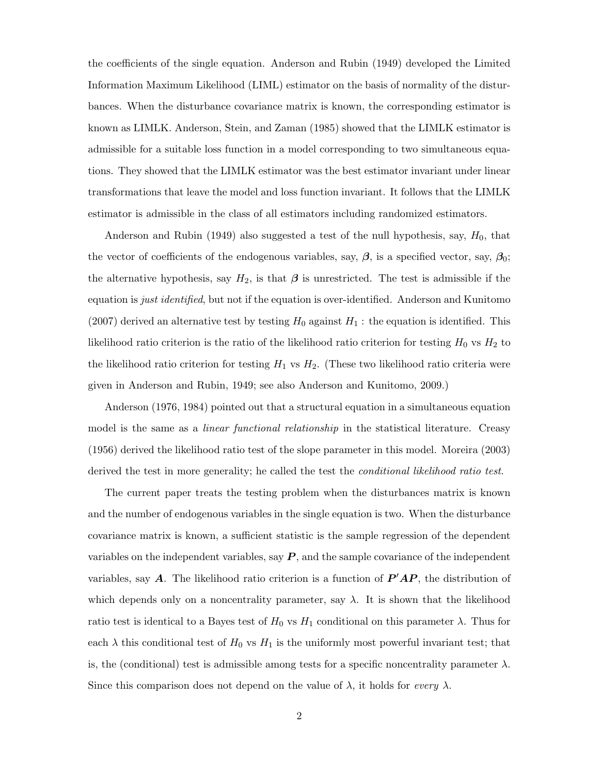the coefficients of the single equation. Anderson and Rubin (1949) developed the Limited Information Maximum Likelihood (LIML) estimator on the basis of normality of the disturbances. When the disturbance covariance matrix is known, the corresponding estimator is known as LIMLK. Anderson, Stein, and Zaman (1985) showed that the LIMLK estimator is admissible for a suitable loss function in a model corresponding to two simultaneous equations. They showed that the LIMLK estimator was the best estimator invariant under linear transformations that leave the model and loss function invariant. It follows that the LIMLK estimator is admissible in the class of all estimators including randomized estimators.

Anderson and Rubin (1949) also suggested a test of the null hypothesis, say,  $H_0$ , that the vector of coefficients of the endogenous variables, say,  $\beta$ , is a specified vector, say,  $\beta_0$ ; the alternative hypothesis, say  $H_2$ , is that  $\beta$  is unrestricted. The test is admissible if the equation is *just identified*, but not if the equation is over-identified. Anderson and Kunitomo (2007) derived an alternative test by testing  $H_0$  against  $H_1$ : the equation is identified. This likelihood ratio criterion is the ratio of the likelihood ratio criterion for testing  $H_0$  vs  $H_2$  to the likelihood ratio criterion for testing  $H_1$  vs  $H_2$ . (These two likelihood ratio criteria were given in Anderson and Rubin, 1949; see also Anderson and Kunitomo, 2009.)

Anderson (1976, 1984) pointed out that a structural equation in a simultaneous equation model is the same as a *linear functional relationship* in the statistical literature. Creasy (1956) derived the likelihood ratio test of the slope parameter in this model. Moreira (2003) derived the test in more generality; he called the test the *conditional likelihood ratio test*.

The current paper treats the testing problem when the disturbances matrix is known and the number of endogenous variables in the single equation is two. When the disturbance covariance matrix is known, a sufficient statistic is the sample regression of the dependent variables on the independent variables, say  $P$ , and the sample covariance of the independent variables, say A. The likelihood ratio criterion is a function of  $P'AP$ , the distribution of which depends only on a noncentrality parameter, say  $\lambda$ . It is shown that the likelihood ratio test is identical to a Bayes test of  $H_0$  vs  $H_1$  conditional on this parameter  $\lambda$ . Thus for each  $\lambda$  this conditional test of  $H_0$  vs  $H_1$  is the uniformly most powerful invariant test; that is, the (conditional) test is admissible among tests for a specific noncentrality parameter  $\lambda$ . Since this comparison does not depend on the value of  $\lambda$ , it holds for *every*  $\lambda$ .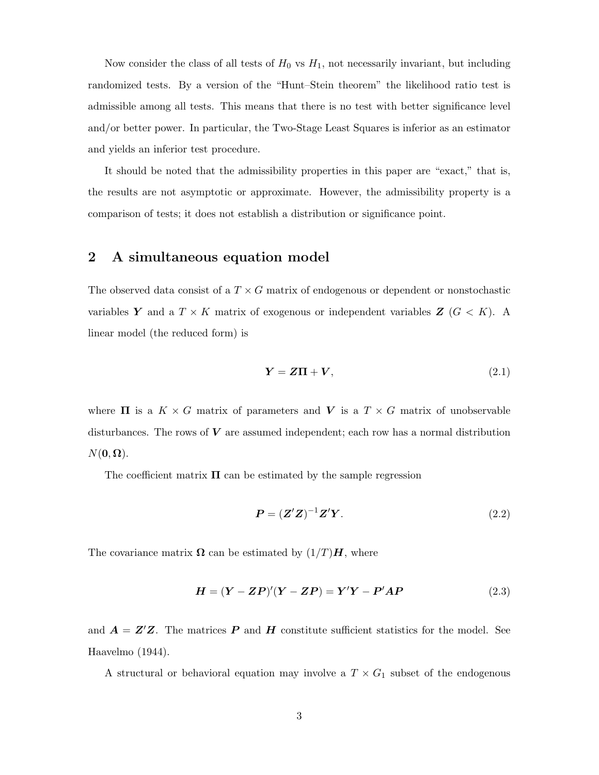Now consider the class of all tests of  $H_0$  vs  $H_1$ , not necessarily invariant, but including randomized tests. By a version of the "Hunt–Stein theorem" the likelihood ratio test is admissible among all tests. This means that there is no test with better significance level and/or better power. In particular, the Two-Stage Least Squares is inferior as an estimator and yields an inferior test procedure.

It should be noted that the admissibility properties in this paper are "exact," that is, the results are not asymptotic or approximate. However, the admissibility property is a comparison of tests; it does not establish a distribution or significance point.

### 2 A simultaneous equation model

The observed data consist of a  $T \times G$  matrix of endogenous or dependent or nonstochastic variables Y and a  $T \times K$  matrix of exogenous or independent variables  $Z$  ( $G < K$ ). A linear model (the reduced form) is

$$
Y = Z\Pi + V, \tag{2.1}
$$

where  $\Pi$  is a  $K \times G$  matrix of parameters and V is a  $T \times G$  matrix of unobservable disturbances. The rows of  $V$  are assumed independent; each row has a normal distribution  $N(\mathbf{0}, \mathbf{\Omega}).$ 

The coefficient matrix  $\Pi$  can be estimated by the sample regression

$$
\boldsymbol{P} = (\boldsymbol{Z}'\boldsymbol{Z})^{-1}\boldsymbol{Z}'\boldsymbol{Y}.\tag{2.2}
$$

The covariance matrix  $\Omega$  can be estimated by  $(1/T)H$ , where

$$
H = (Y - ZP)'(Y - ZP) = Y'Y - P'AP
$$
\n(2.3)

and  $\mathbf{A} = \mathbf{Z}'\mathbf{Z}$ . The matrices **P** and **H** constitute sufficient statistics for the model. See Haavelmo (1944).

A structural or behavioral equation may involve a  $T \times G_1$  subset of the endogenous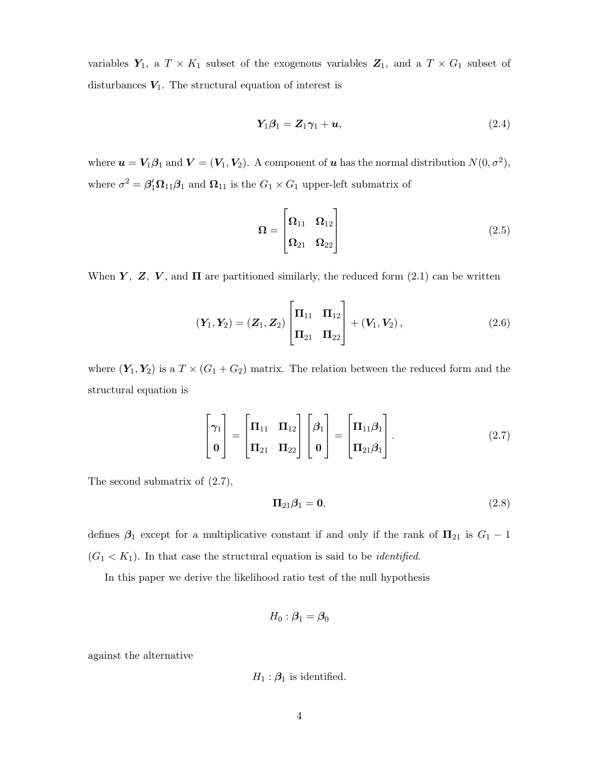variables  $Y_1$ , a  $T \times K_1$  subset of the exogenous variables  $Z_1$ , and a  $T \times G_1$  subset of disturbances  $V_1$ . The structural equation of interest is

$$
Y_1\beta_1 = Z_1\gamma_1 + u,\tag{2.4}
$$

where  $u = V_1 \beta_1$  and  $V = (V_1, V_2)$ . A component of u has the normal distribution  $N(0, \sigma^2)$ , where  $\sigma^2 = \beta_1^{\prime} \Omega_{11} \beta_1$  and  $\Omega_{11}$  is the  $G_1 \times G_1$  upper-left submatrix of

$$
\Omega = \begin{bmatrix} \Omega_{11} & \Omega_{12} \\ \Omega_{21} & \Omega_{22} \end{bmatrix} \tag{2.5}
$$

When Y, Z, V, and  $\Pi$  are partitioned similarly, the reduced form (2.1) can be written

$$
\left(\mathbf{Y}_1, \mathbf{Y}_2\right) = \left(\mathbf{Z}_1, \mathbf{Z}_2\right) \begin{bmatrix} \mathbf{\Pi}_{11} & \mathbf{\Pi}_{12} \\ \mathbf{\Pi}_{21} & \mathbf{\Pi}_{22} \end{bmatrix} + \left(\mathbf{V}_1, \mathbf{V}_2\right), \tag{2.6}
$$

where  $(Y_1, Y_2)$  is a  $T \times (G_1 + G_2)$  matrix. The relation between the reduced form and the structural equation is

$$
\begin{bmatrix} \gamma_1 \\ \mathbf{0} \end{bmatrix} = \begin{bmatrix} \mathbf{\Pi}_{11} & \mathbf{\Pi}_{12} \\ \mathbf{\Pi}_{21} & \mathbf{\Pi}_{22} \end{bmatrix} \begin{bmatrix} \boldsymbol{\beta}_1 \\ \mathbf{0} \end{bmatrix} = \begin{bmatrix} \mathbf{\Pi}_{11} \boldsymbol{\beta}_1 \\ \mathbf{\Pi}_{21} \boldsymbol{\beta}_1 \end{bmatrix} .
$$
 (2.7)

The second submatrix of (2.7),

$$
\Pi_{21}\beta_1 = \mathbf{0},\tag{2.8}
$$

defines  $\beta_1$  except for a multiplicative constant if and only if the rank of  $\Pi_{21}$  is  $G_1 - 1$  $(G_1 < K_1)$ . In that case the structural equation is said to be *identified*.

In this paper we derive the likelihood ratio test of the null hypothesis

$$
H_0: \bm{\beta}_1 = \bm{\beta}_0
$$

against the alternative

$$
H_1: \mathcal{B}_1
$$
 is identified.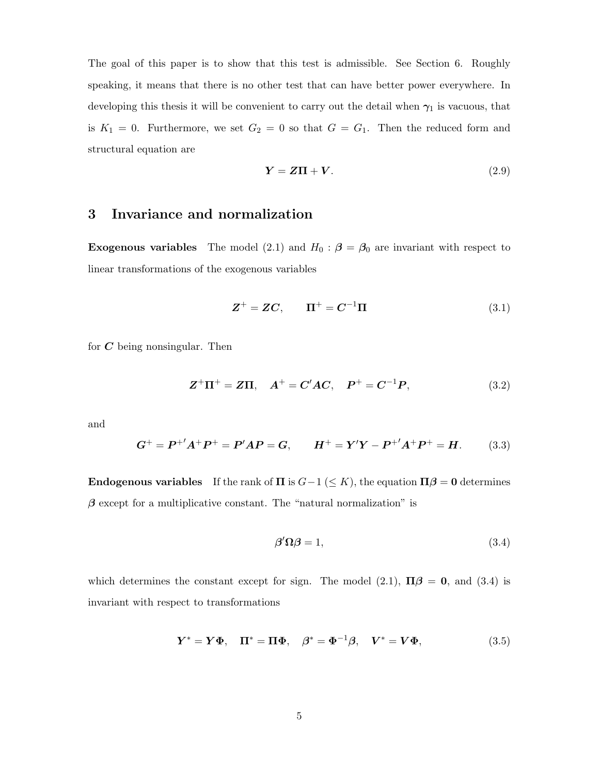The goal of this paper is to show that this test is admissible. See Section 6. Roughly speaking, it means that there is no other test that can have better power everywhere. In developing this thesis it will be convenient to carry out the detail when  $\gamma_1$  is vacuous, that is  $K_1 = 0$ . Furthermore, we set  $G_2 = 0$  so that  $G = G_1$ . Then the reduced form and structural equation are

$$
Y = Z\Pi + V. \tag{2.9}
$$

### 3 Invariance and normalization

**Exogenous variables** The model (2.1) and  $H_0$  :  $\beta = \beta_0$  are invariant with respect to linear transformations of the exogenous variables

$$
\mathbf{Z}^+ = \mathbf{Z}\mathbf{C}, \qquad \mathbf{\Pi}^+ = \mathbf{C}^{-1}\mathbf{\Pi}
$$
\n(3.1)

for  $C$  being nonsingular. Then

$$
Z^{+}\Pi^{+} = Z\Pi, \quad A^{+} = C'AC, \quad P^{+} = C^{-1}P, \tag{3.2}
$$

and

$$
G^{+} = P^{+'}A^{+}P^{+} = P'AP = G, \qquad H^{+} = Y'Y - P^{+'}A^{+}P^{+} = H. \tag{3.3}
$$

Endogenous variables If the rank of  $\Pi$  is  $G-1 \leq K$ , the equation  $\Pi\beta = 0$  determines  $\beta$  except for a multiplicative constant. The "natural normalization" is

$$
\beta' \Omega \beta = 1,\tag{3.4}
$$

which determines the constant except for sign. The model (2.1),  $\Pi \beta = 0$ , and (3.4) is invariant with respect to transformations

$$
\mathbf{Y}^* = \mathbf{Y}\mathbf{\Phi}, \quad \mathbf{\Pi}^* = \mathbf{\Pi}\mathbf{\Phi}, \quad \boldsymbol{\beta}^* = \mathbf{\Phi}^{-1}\boldsymbol{\beta}, \quad \mathbf{V}^* = \mathbf{V}\mathbf{\Phi}, \tag{3.5}
$$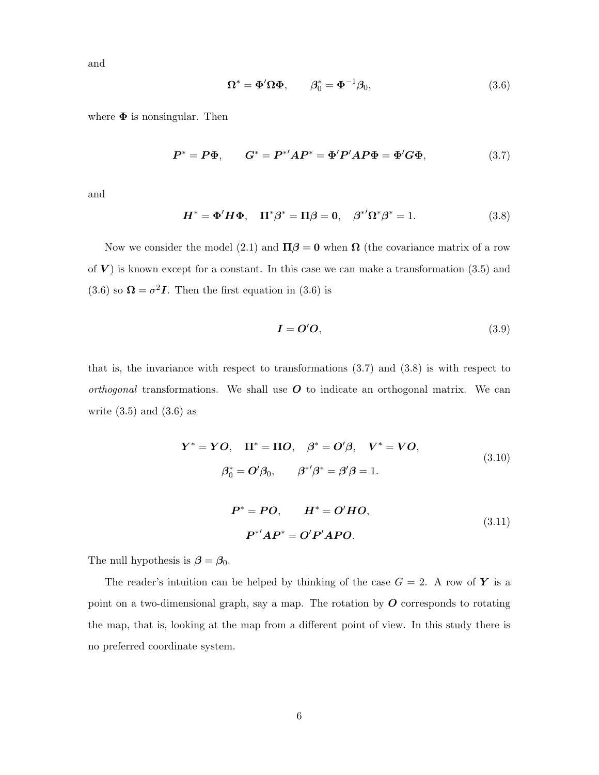and

$$
\Omega^* = \Phi' \Omega \Phi, \qquad \beta_0^* = \Phi^{-1} \beta_0, \tag{3.6}
$$

where  $\Phi$  is nonsingular. Then

$$
P^* = P\Phi, \qquad G^* = P^{*'}AP^* = \Phi'P'AP\Phi = \Phi'G\Phi, \tag{3.7}
$$

and

$$
H^* = \Phi' H \Phi, \quad \Pi^* \beta^* = \Pi \beta = 0, \quad \beta^{*'} \Omega^* \beta^* = 1.
$$
 (3.8)

Now we consider the model (2.1) and  $\Pi \beta = 0$  when  $\Omega$  (the covariance matrix of a row of  $V$ ) is known except for a constant. In this case we can make a transformation  $(3.5)$  and  $(3.6)$  so  $\mathbf{\Omega} = \sigma^2 \mathbf{I}$ . Then the first equation in  $(3.6)$  is

$$
I = O'O, \tag{3.9}
$$

that is, the invariance with respect to transformations  $(3.7)$  and  $(3.8)$  is with respect to orthogonal transformations. We shall use  $O$  to indicate an orthogonal matrix. We can write  $(3.5)$  and  $(3.6)$  as

$$
Y^* = YO, \quad \Pi^* = \Pi O, \quad \beta^* = O'\beta, \quad V^* = VO,
$$
  

$$
\beta_0^* = O'\beta_0, \qquad \beta^{*'}\beta^* = \beta'\beta = 1.
$$
  

$$
P^* = PO, \qquad H^* = O'HO,
$$
  

$$
P^{*'}AP^* = O'P'APO.
$$
  
(3.11)

The null hypothesis is  $\beta = \beta_0$ .

The reader's intuition can be helped by thinking of the case  $G = 2$ . A row of Y is a point on a two-dimensional graph, say a map. The rotation by  $O$  corresponds to rotating the map, that is, looking at the map from a different point of view. In this study there is no preferred coordinate system.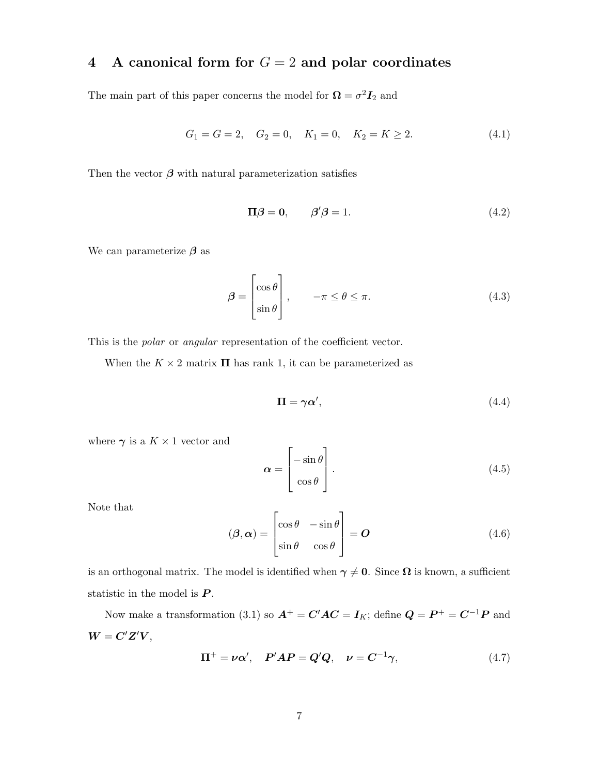# 4 A canonical form for  $G = 2$  and polar coordinates

The main part of this paper concerns the model for  $\mathbf{\Omega} = \sigma^2 \mathbf{I}_2$  and

$$
G_1 = G = 2, \quad G_2 = 0, \quad K_1 = 0, \quad K_2 = K \ge 2. \tag{4.1}
$$

Then the vector  $\beta$  with natural parameterization satisfies

$$
\Pi \beta = 0, \qquad \beta' \beta = 1. \tag{4.2}
$$

We can parameterize  $\beta$  as

$$
\beta = \begin{bmatrix} \cos \theta \\ \sin \theta \end{bmatrix}, \qquad -\pi \le \theta \le \pi. \tag{4.3}
$$

This is the *polar* or *angular* representation of the coefficient vector.

When the  $K \times 2$  matrix  $\Pi$  has rank 1, it can be parameterized as

$$
\Pi = \gamma \alpha',\tag{4.4}
$$

where  $\gamma$  is a  $K \times 1$  vector and

$$
\boldsymbol{\alpha} = \begin{bmatrix} -\sin \theta \\ \cos \theta \end{bmatrix} . \tag{4.5}
$$

Note that

$$
(\boldsymbol{\beta}, \boldsymbol{\alpha}) = \begin{bmatrix} \cos \theta & -\sin \theta \\ \sin \theta & \cos \theta \end{bmatrix} = \boldsymbol{O} \tag{4.6}
$$

is an orthogonal matrix. The model is identified when  $\gamma \neq 0$ . Since  $\Omega$  is known, a sufficient statistic in the model is  $P$ .

Now make a transformation (3.1) so  $A^+ = C'AC = I_K$ ; define  $Q = P^+ = C^{-1}P$  and  $W = C'Z'V,$ 

$$
\Pi^{+} = \nu \alpha', \quad P'AP = Q'Q, \quad \nu = C^{-1} \gamma,
$$
\n(4.7)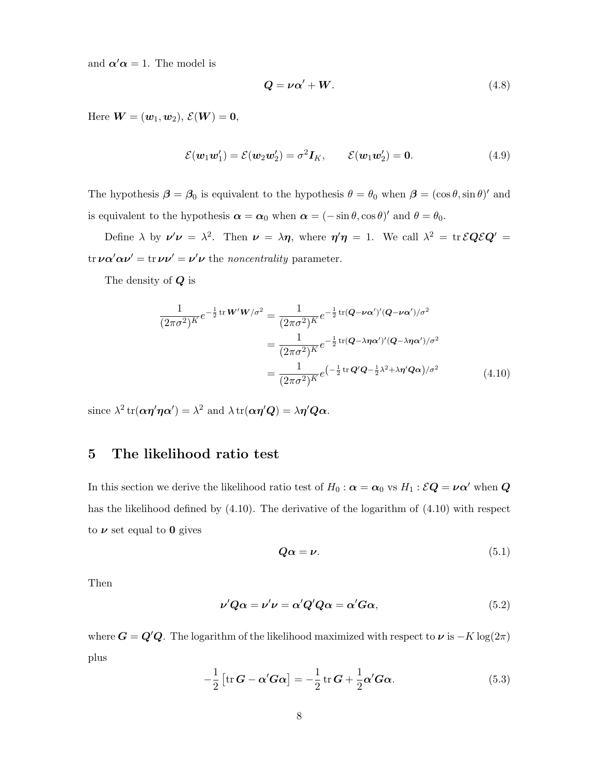and  $\alpha' \alpha = 1$ . The model is

$$
Q = \nu \alpha' + W. \tag{4.8}
$$

Here  $\mathbf{W} = (\mathbf{w}_1, \mathbf{w}_2), \, \mathcal{E}(\mathbf{W}) = \mathbf{0},$ 

$$
\mathcal{E}(\boldsymbol{w}_1\boldsymbol{w}_1') = \mathcal{E}(\boldsymbol{w}_2\boldsymbol{w}_2') = \sigma^2 \boldsymbol{I}_K, \qquad \mathcal{E}(\boldsymbol{w}_1\boldsymbol{w}_2') = \mathbf{0}.
$$
 (4.9)

The hypothesis  $\beta = \beta_0$  is equivalent to the hypothesis  $\theta = \theta_0$  when  $\beta = (\cos \theta, \sin \theta)'$  and is equivalent to the hypothesis  $\alpha = \alpha_0$  when  $\alpha = (-\sin \theta, \cos \theta)'$  and  $\theta = \theta_0$ .

Define  $\lambda$  by  $\nu' \nu = \lambda^2$ . Then  $\nu = \lambda \eta$ , where  $\eta' \eta = 1$ . We call  $\lambda^2 = \text{tr} \,\mathcal{E} Q \mathcal{E} Q' =$ tr  $\nu \alpha' \alpha \nu' = \text{tr} \nu \nu' = \nu' \nu$  the noncentrality parameter.

The density of Q is

$$
\frac{1}{(2\pi\sigma^2)^K}e^{-\frac{1}{2}\operatorname{tr}W'W/\sigma^2} = \frac{1}{(2\pi\sigma^2)^K}e^{-\frac{1}{2}\operatorname{tr}(Q-\nu\alpha')'(Q-\nu\alpha')/\sigma^2}
$$

$$
= \frac{1}{(2\pi\sigma^2)^K}e^{-\frac{1}{2}\operatorname{tr}(Q-\lambda\eta\alpha')'(Q-\lambda\eta\alpha')/\sigma^2}
$$

$$
= \frac{1}{(2\pi\sigma^2)^K}e^{-\frac{1}{2}\operatorname{tr}(Q'\alpha-\frac{1}{2}\lambda^2+\lambda\eta'Q\alpha)/\sigma^2}
$$
(4.10)

since  $\lambda^2 \text{ tr}(\alpha \eta' \eta \alpha') = \lambda^2$  and  $\lambda \text{ tr}(\alpha \eta' Q) = \lambda \eta' Q \alpha$ .

## 5 The likelihood ratio test

In this section we derive the likelihood ratio test of  $H_0$  :  $\alpha = \alpha_0$  vs  $H_1 : \mathcal{EQ} = \nu \alpha'$  when  $Q$ has the likelihood defined by (4.10). The derivative of the logarithm of (4.10) with respect to  $\nu$  set equal to 0 gives

$$
Q\alpha = \nu. \tag{5.1}
$$

Then

$$
\nu'Q\alpha = \nu'\nu = \alpha'Q'Q\alpha = \alpha'G\alpha, \qquad (5.2)
$$

where  $G = Q'Q$ . The logarithm of the likelihood maximized with respect to  $\nu$  is  $-K \log(2\pi)$ plus

$$
-\frac{1}{2}\left[\mathrm{tr}\,\mathbf{G}-\boldsymbol{\alpha}^{\prime}\mathbf{G}\boldsymbol{\alpha}\right]=-\frac{1}{2}\,\mathrm{tr}\,\mathbf{G}+\frac{1}{2}\boldsymbol{\alpha}^{\prime}\mathbf{G}\boldsymbol{\alpha}.\tag{5.3}
$$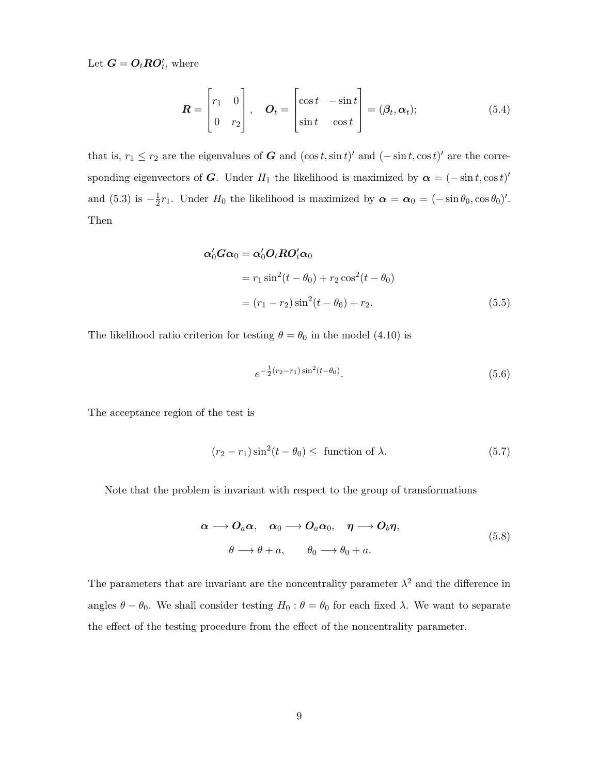Let  $\mathbf{G} = \mathbf{O}_t \mathbf{R} \mathbf{O}'_t$ , where

$$
\boldsymbol{R} = \begin{bmatrix} r_1 & 0 \\ 0 & r_2 \end{bmatrix}, \quad \boldsymbol{O}_t = \begin{bmatrix} \cos t & -\sin t \\ \sin t & \cos t \end{bmatrix} = (\boldsymbol{\beta}_t, \boldsymbol{\alpha}_t); \tag{5.4}
$$

that is,  $r_1 \leq r_2$  are the eigenvalues of G and  $(\cos t, \sin t)'$  and  $(-\sin t, \cos t)'$  are the corresponding eigenvectors of G. Under  $H_1$  the likelihood is maximized by  $\alpha = (-\sin t, \cos t)'$ and  $(5.3)$  is  $-\frac{1}{2}$  $\frac{1}{2}r_1$ . Under  $H_0$  the likelihood is maximized by  $\alpha = \alpha_0 = (-\sin \theta_0, \cos \theta_0)'$ . Then

$$
\alpha'_0 G \alpha_0 = \alpha'_0 O_t R O_t' \alpha_0
$$
  
=  $r_1 \sin^2(t - \theta_0) + r_2 \cos^2(t - \theta_0)$   
=  $(r_1 - r_2) \sin^2(t - \theta_0) + r_2.$  (5.5)

The likelihood ratio criterion for testing  $\theta = \theta_0$  in the model (4.10) is

$$
e^{-\frac{1}{2}(r_2 - r_1)\sin^2(t - \theta_0)}.\tag{5.6}
$$

The acceptance region of the test is

$$
(r_2 - r_1)\sin^2(t - \theta_0) \leq \text{ function of } \lambda. \tag{5.7}
$$

Note that the problem is invariant with respect to the group of transformations

$$
\alpha \longrightarrow O_a \alpha, \quad \alpha_0 \longrightarrow O_a \alpha_0, \quad \eta \longrightarrow O_b \eta,
$$
  

$$
\theta \longrightarrow \theta + a, \qquad \theta_0 \longrightarrow \theta_0 + a.
$$
 (5.8)

The parameters that are invariant are the noncentrality parameter  $\lambda^2$  and the difference in angles  $\theta - \theta_0$ . We shall consider testing  $H_0: \theta = \theta_0$  for each fixed  $\lambda$ . We want to separate the effect of the testing procedure from the effect of the noncentrality parameter.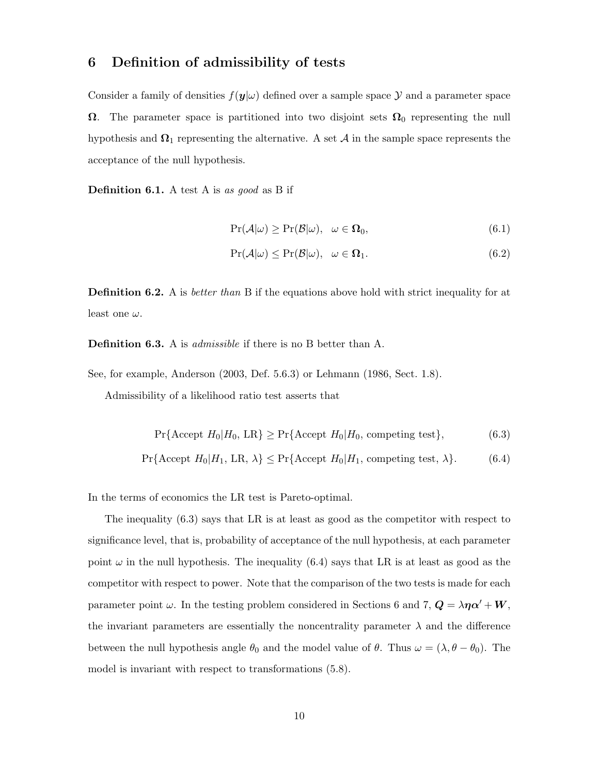## 6 Definition of admissibility of tests

Consider a family of densities  $f(\mathbf{y}|\omega)$  defined over a sample space  $\mathcal Y$  and a parameter space  $\Omega$ . The parameter space is partitioned into two disjoint sets  $\Omega_0$  representing the null hypothesis and  $\Omega_1$  representing the alternative. A set  $\mathcal A$  in the sample space represents the acceptance of the null hypothesis.

**Definition 6.1.** A test A is as good as B if

$$
\Pr(\mathcal{A}|\omega) \ge \Pr(\mathcal{B}|\omega), \quad \omega \in \Omega_0,\tag{6.1}
$$

$$
\Pr(\mathcal{A}|\omega) \le \Pr(\mathcal{B}|\omega), \quad \omega \in \Omega_1. \tag{6.2}
$$

**Definition 6.2.** A is *better than* B if the equations above hold with strict inequality for at least one  $\omega$ .

Definition 6.3. A is *admissible* if there is no B better than A.

See, for example, Anderson (2003, Def. 5.6.3) or Lehmann (1986, Sect. 1.8).

Admissibility of a likelihood ratio test asserts that

$$
\Pr\{\text{Accept } H_0 | H_0, \text{ LR}\} \ge \Pr\{\text{Accept } H_0 | H_0, \text{ competing test}\},\tag{6.3}
$$

$$
\Pr\{\text{Accept } H_0 | H_1, \text{ LR}, \lambda\} \le \Pr\{\text{Accept } H_0 | H_1, \text{ competing test}, \lambda\}. \tag{6.4}
$$

In the terms of economics the LR test is Pareto-optimal.

The inequality (6.3) says that LR is at least as good as the competitor with respect to significance level, that is, probability of acceptance of the null hypothesis, at each parameter point  $\omega$  in the null hypothesis. The inequality (6.4) says that LR is at least as good as the competitor with respect to power. Note that the comparison of the two tests is made for each parameter point  $\omega$ . In the testing problem considered in Sections 6 and 7,  $\mathbf{Q} = \lambda \eta \alpha' + \mathbf{W}$ , the invariant parameters are essentially the noncentrality parameter  $\lambda$  and the difference between the null hypothesis angle  $\theta_0$  and the model value of  $\theta$ . Thus  $\omega = (\lambda, \theta - \theta_0)$ . The model is invariant with respect to transformations (5.8).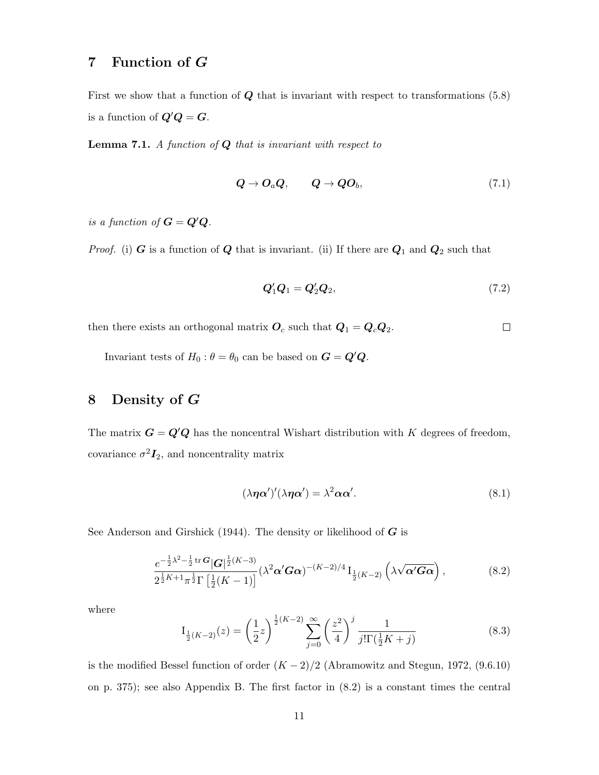## 7 Function of G

First we show that a function of  $Q$  that is invariant with respect to transformations  $(5.8)$ is a function of  $Q'Q = G$ .

**Lemma 7.1.** A function of  $Q$  that is invariant with respect to

$$
Q \to O_a Q, \qquad Q \to QO_b, \tag{7.1}
$$

is a function of  $G = Q'Q$ .

*Proof.* (i)  $G$  is a function of  $Q$  that is invariant. (ii) If there are  $Q_1$  and  $Q_2$  such that

$$
\boldsymbol{Q}_1' \boldsymbol{Q}_1 = \boldsymbol{Q}_2' \boldsymbol{Q}_2,\tag{7.2}
$$

then there exists an orthogonal matrix  $O_c$  such that  $Q_1 = Q_c Q_2$ .  $\Box$ 

Invariant tests of  $H_0$ :  $\theta = \theta_0$  can be based on  $G = Q'Q$ .

## 8 Density of G

The matrix  $G = Q'Q$  has the noncentral Wishart distribution with K degrees of freedom, covariance  $\sigma^2 I_2$ , and noncentrality matrix

$$
(\lambda \eta \alpha')'(\lambda \eta \alpha') = \lambda^2 \alpha \alpha'. \tag{8.1}
$$

See Anderson and Girshick (1944). The density or likelihood of  $G$  is

$$
\frac{e^{-\frac{1}{2}\lambda^2 - \frac{1}{2}\text{tr}\,\mathbf{G}}|\mathbf{G}|^{\frac{1}{2}(K-3)}}{2^{\frac{1}{2}K+1}\pi^{\frac{1}{2}}\Gamma\left[\frac{1}{2}(K-1)\right]}(\lambda^2\boldsymbol{\alpha}'\mathbf{G}\boldsymbol{\alpha})^{-(K-2)/4}\mathbf{I}_{\frac{1}{2}(K-2)}\left(\lambda\sqrt{\boldsymbol{\alpha}'\mathbf{G}\boldsymbol{\alpha}}\right),\tag{8.2}
$$

where

$$
I_{\frac{1}{2}(K-2)}(z) = \left(\frac{1}{2}z\right)^{\frac{1}{2}(K-2)} \sum_{j=0}^{\infty} \left(\frac{z^2}{4}\right)^j \frac{1}{j!\Gamma(\frac{1}{2}K+j)}
$$
(8.3)

is the modified Bessel function of order  $(K-2)/2$  (Abramowitz and Stegun, 1972, (9.6.10) on p. 375); see also Appendix B. The first factor in (8.2) is a constant times the central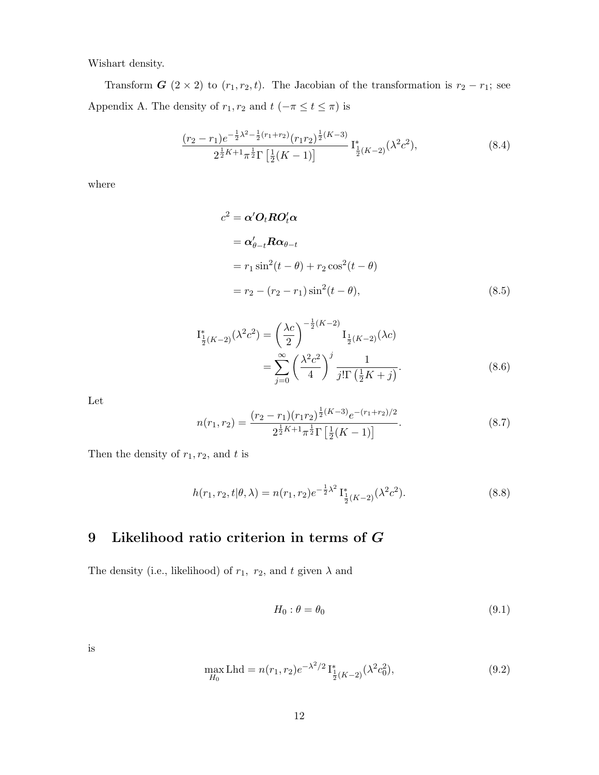Wishart density.

Transform  $G$  (2 × 2) to  $(r_1, r_2, t)$ . The Jacobian of the transformation is  $r_2 - r_1$ ; see Appendix A. The density of  $r_1, r_2$  and  $t$  ( $-\pi \le t \le \pi$ ) is

$$
\frac{(r_2 - r_1)e^{-\frac{1}{2}\lambda^2 - \frac{1}{2}(r_1 + r_2)}(r_1r_2)^{\frac{1}{2}(K-3)}}{2^{\frac{1}{2}K + 1}\pi^{\frac{1}{2}}\Gamma\left[\frac{1}{2}(K-1)\right]} \mathcal{I}_{\frac{1}{2}(K-2)}^*(\lambda^2 c^2),\tag{8.4}
$$

where

$$
c2 = \alpha' Ot R O't \alpha
$$
  
=  $\alpha'_{\theta-t} R \alpha_{\theta-t}$   
=  $r_1 \sin^2(t - \theta) + r_2 \cos^2(t - \theta)$   
=  $r_2 - (r_2 - r_1) \sin^2(t - \theta)$ , (8.5)

$$
\begin{split} \mathcal{I}_{\frac{1}{2}(K-2)}^{*}(\lambda^{2}c^{2}) &= \left(\frac{\lambda c}{2}\right)^{-\frac{1}{2}(K-2)} \mathcal{I}_{\frac{1}{2}(K-2)}(\lambda c) \\ &= \sum_{j=0}^{\infty} \left(\frac{\lambda^{2}c^{2}}{4}\right)^{j} \frac{1}{j!\Gamma\left(\frac{1}{2}K+j\right)}. \end{split} \tag{8.6}
$$

Let

$$
n(r_1, r_2) = \frac{(r_2 - r_1)(r_1 r_2)^{\frac{1}{2}(K-3)} e^{-(r_1 + r_2)/2}}{2^{\frac{1}{2}K + 1} \pi^{\frac{1}{2}} \Gamma\left[\frac{1}{2}(K-1)\right]}.
$$
\n(8.7)

Then the density of  $r_1, r_2$ , and t is

$$
h(r_1, r_2, t | \theta, \lambda) = n(r_1, r_2) e^{-\frac{1}{2}\lambda^2} \mathbf{I}_{\frac{1}{2}(K-2)}^*(\lambda^2 c^2).
$$
 (8.8)

## 9 Likelihood ratio criterion in terms of G

The density (i.e., likelihood) of  $r_1$ ,  $r_2$ , and t given  $\lambda$  and

$$
H_0: \theta = \theta_0 \tag{9.1}
$$

is

$$
\max_{H_0} \text{Lhd} = n(r_1, r_2) e^{-\lambda^2/2} \mathbf{I}_{\frac{1}{2}(K-2)}^*(\lambda^2 c_0^2),\tag{9.2}
$$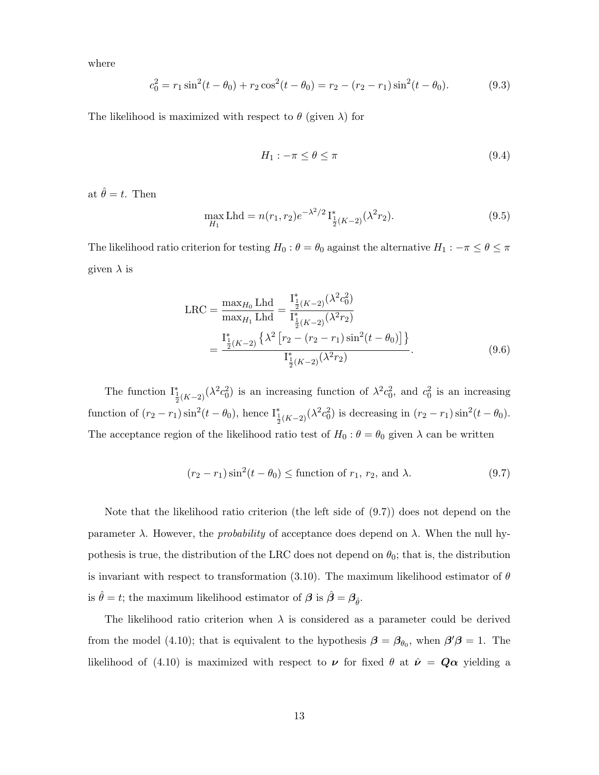where

$$
c_0^2 = r_1 \sin^2(t - \theta_0) + r_2 \cos^2(t - \theta_0) = r_2 - (r_2 - r_1) \sin^2(t - \theta_0).
$$
 (9.3)

The likelihood is maximized with respect to  $\theta$  (given  $\lambda$ ) for

$$
H_1: -\pi \le \theta \le \pi \tag{9.4}
$$

at  $\hat{\theta} = t$ . Then

$$
\max_{H_1} \text{Lhd} = n(r_1, r_2) e^{-\lambda^2/2} \mathbf{I}_{\frac{1}{2}(K-2)}^*(\lambda^2 r_2). \tag{9.5}
$$

The likelihood ratio criterion for testing  $H_0$  :  $\theta = \theta_0$  against the alternative  $H_1$  :  $-\pi \le \theta \le \pi$ given  $\lambda$  is

$$
LRC = \frac{\max_{H_0} Lhd}{\max_{H_1} Lhd} = \frac{I_{\frac{1}{2}(K-2)}^*(\lambda^2 c_0^2)}{I_{\frac{1}{2}(K-2)}^*(\lambda^2 r_2)}
$$
  
= 
$$
\frac{I_{\frac{1}{2}(K-2)}^*(\lambda^2 [r_2 - (r_2 - r_1) sin^2(t - \theta_0)]}{I_{\frac{1}{2}(K-2)}^*(\lambda^2 r_2)}.
$$
(9.6)

The function  $I^*_{\frac{1}{2}(K-2)}(\lambda^2 c_0^2)$  is an increasing function of  $\lambda^2 c_0^2$ , and  $c_0^2$  is an increasing function of  $(r_2 - r_1) \sin^2(t - \theta_0)$ , hence  $I^*_{\frac{1}{2}(K-2)}(\lambda^2 c_0^2)$  is decreasing in  $(r_2 - r_1) \sin^2(t - \theta_0)$ . The acceptance region of the likelihood ratio test of  $H_0$  :  $\theta = \theta_0$  given  $\lambda$  can be written

$$
(r_2 - r_1)\sin^2(t - \theta_0) \leq \text{function of } r_1, r_2, \text{ and } \lambda. \tag{9.7}
$$

Note that the likelihood ratio criterion (the left side of (9.7)) does not depend on the parameter  $\lambda$ . However, the *probability* of acceptance does depend on  $\lambda$ . When the null hypothesis is true, the distribution of the LRC does not depend on  $\theta_0$ ; that is, the distribution is invariant with respect to transformation (3.10). The maximum likelihood estimator of  $\theta$ is  $\hat{\theta} = t$ ; the maximum likelihood estimator of  $\beta$  is  $\hat{\beta} = \beta_{\hat{\theta}}$ .

The likelihood ratio criterion when  $\lambda$  is considered as a parameter could be derived from the model (4.10); that is equivalent to the hypothesis  $\beta = \beta_{\theta_0}$ , when  $\beta' \beta = 1$ . The likelihood of (4.10) is maximized with respect to  $\nu$  for fixed  $\theta$  at  $\hat{\nu} = Q\alpha$  yielding a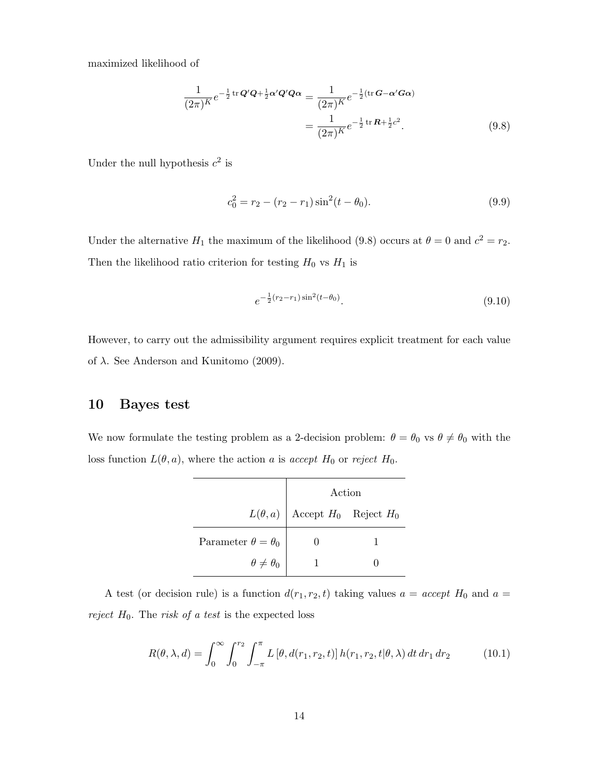maximized likelihood of

$$
\frac{1}{(2\pi)^K}e^{-\frac{1}{2}\operatorname{tr}\mathbf{Q}'\mathbf{Q}+\frac{1}{2}\mathbf{\alpha}'\mathbf{Q}'\mathbf{Q}\mathbf{\alpha}} = \frac{1}{(2\pi)^K}e^{-\frac{1}{2}(\operatorname{tr}\mathbf{G}-\mathbf{\alpha}'\mathbf{G}\mathbf{\alpha})}
$$

$$
=\frac{1}{(2\pi)^K}e^{-\frac{1}{2}\operatorname{tr}\mathbf{R}+\frac{1}{2}c^2}.
$$
(9.8)

Under the null hypothesis  $c^2$  is

$$
c_0^2 = r_2 - (r_2 - r_1)\sin^2(t - \theta_0).
$$
\n(9.9)

Under the alternative  $H_1$  the maximum of the likelihood (9.8) occurs at  $\theta = 0$  and  $c^2 = r_2$ . Then the likelihood ratio criterion for testing  $H_0$  vs  $H_1$  is

$$
e^{-\frac{1}{2}(r_2 - r_1)\sin^2(t - \theta_0)}.\t(9.10)
$$

However, to carry out the admissibility argument requires explicit treatment for each value of  $\lambda$ . See Anderson and Kunitomo (2009).

### 10 Bayes test

We now formulate the testing problem as a 2-decision problem:  $\theta = \theta_0$  vs  $\theta \neq \theta_0$  with the loss function  $L(\theta, a)$ , where the action a is accept  $H_0$  or reject  $H_0$ .

|                               | Action                                   |  |
|-------------------------------|------------------------------------------|--|
|                               | $L(\theta, a)$ Accept $H_0$ Reject $H_0$ |  |
| Parameter $\theta = \theta_0$ |                                          |  |
| $\theta \neq \theta_0$        |                                          |  |

A test (or decision rule) is a function  $d(r_1, r_2, t)$  taking values  $a = accept H_0$  and  $a =$ reject  $H_0$ . The risk of a test is the expected loss

$$
R(\theta, \lambda, d) = \int_0^\infty \int_0^{r_2} \int_{-\pi}^{\pi} L[\theta, d(r_1, r_2, t)] h(r_1, r_2, t | \theta, \lambda) dt dr_1 dr_2
$$
 (10.1)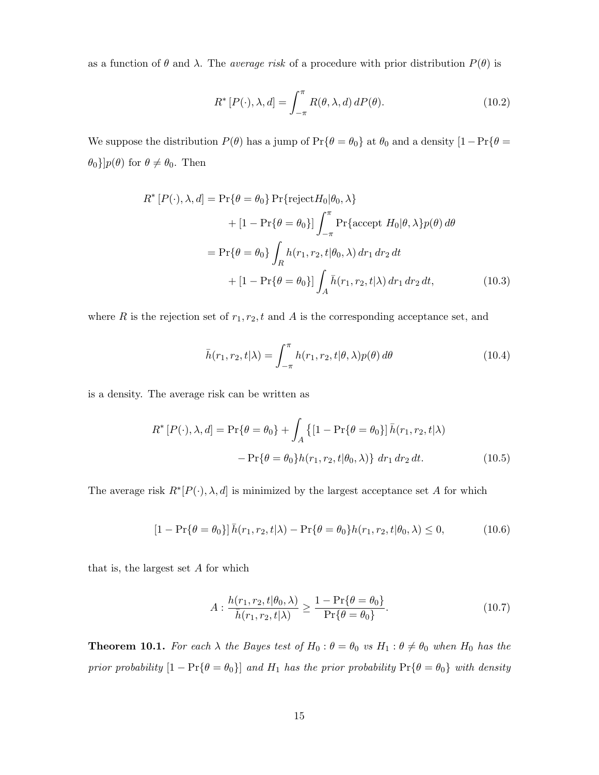as a function of  $\theta$  and  $\lambda$ . The *average risk* of a procedure with prior distribution  $P(\theta)$  is

$$
R^*[P(\cdot), \lambda, d] = \int_{-\pi}^{\pi} R(\theta, \lambda, d) dP(\theta).
$$
 (10.2)

We suppose the distribution  $P(\theta)$  has a jump of  $Pr{\theta = \theta_0}$  at  $\theta_0$  and a density  $[1 - Pr{\theta = \theta_0}]$  $\{\theta_0\}]p(\theta)$  for  $\theta \neq \theta_0$ . Then

$$
R^*[P(\cdot), \lambda, d] = \Pr\{\theta = \theta_0\} \Pr\{\text{reject} H_0 | \theta_0, \lambda\}
$$
  
+  $[1 - \Pr\{\theta = \theta_0\}] \int_{-\pi}^{\pi} \Pr\{\text{accept } H_0 | \theta, \lambda\} p(\theta) d\theta$   
=  $\Pr\{\theta = \theta_0\} \int_R h(r_1, r_2, t | \theta_0, \lambda) dr_1 dr_2 dt$   
+  $[1 - \Pr\{\theta = \theta_0\}] \int_A \bar{h}(r_1, r_2, t | \lambda) dr_1 dr_2 dt,$  (10.3)

where R is the rejection set of  $r_1, r_2, t$  and A is the corresponding acceptance set, and

$$
\bar{h}(r_1, r_2, t | \lambda) = \int_{-\pi}^{\pi} h(r_1, r_2, t | \theta, \lambda) p(\theta) d\theta \qquad (10.4)
$$

is a density. The average risk can be written as

$$
R^*[P(\cdot), \lambda, d] = \Pr\{\theta = \theta_0\} + \int_A \left\{ [1 - \Pr\{\theta = \theta_0\}] \bar{h}(r_1, r_2, t | \lambda) - \Pr\{\theta = \theta_0\} h(r_1, r_2, t | \theta_0, \lambda)\right\} dr_1 dr_2 dt.
$$
 (10.5)

The average risk  $R^*[P(\cdot), \lambda, d]$  is minimized by the largest acceptance set A for which

$$
[1 - \Pr\{\theta = \theta_0\}] \bar{h}(r_1, r_2, t | \lambda) - \Pr\{\theta = \theta_0\} h(r_1, r_2, t | \theta_0, \lambda) \le 0,
$$
\n(10.6)

that is, the largest set  $A$  for which

$$
A: \frac{h(r_1, r_2, t | \theta_0, \lambda)}{\bar{h}(r_1, r_2, t | \lambda)} \ge \frac{1 - \Pr\{\theta = \theta_0\}}{\Pr\{\theta = \theta_0\}}.
$$
\n(10.7)

**Theorem 10.1.** For each  $\lambda$  the Bayes test of  $H_0: \theta = \theta_0$  vs  $H_1: \theta \neq \theta_0$  when  $H_0$  has the prior probability  $[1 - Pr{\theta = \theta_0}]$  and  $H_1$  has the prior probability  $Pr{\theta = \theta_0}$  with density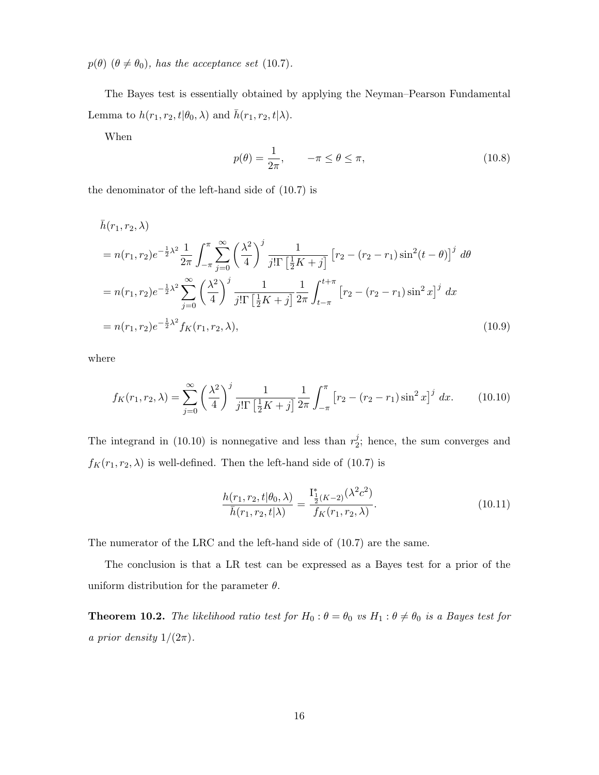$p(\theta)$  ( $\theta \neq \theta_0$ ), has the acceptance set (10.7).

The Bayes test is essentially obtained by applying the Neyman–Pearson Fundamental Lemma to  $h(r_1, r_2, t | \theta_0, \lambda)$  and  $\bar{h}(r_1, r_2, t | \lambda)$ .

When

$$
p(\theta) = \frac{1}{2\pi}, \qquad -\pi \le \theta \le \pi,
$$
\n(10.8)

the denominator of the left-hand side of (10.7) is

$$
\bar{h}(r_1, r_2, \lambda)
$$
\n
$$
= n(r_1, r_2) e^{-\frac{1}{2}\lambda^2} \frac{1}{2\pi} \int_{-\pi}^{\pi} \sum_{j=0}^{\infty} \left(\frac{\lambda^2}{4}\right)^j \frac{1}{j! \Gamma\left[\frac{1}{2}K + j\right]} \left[r_2 - (r_2 - r_1)\sin^2(t - \theta)\right]^j d\theta
$$
\n
$$
= n(r_1, r_2) e^{-\frac{1}{2}\lambda^2} \sum_{j=0}^{\infty} \left(\frac{\lambda^2}{4}\right)^j \frac{1}{j! \Gamma\left[\frac{1}{2}K + j\right]} \frac{1}{2\pi} \int_{t-\pi}^{t+\pi} \left[r_2 - (r_2 - r_1)\sin^2 x\right]^j dx
$$
\n
$$
= n(r_1, r_2) e^{-\frac{1}{2}\lambda^2} f_K(r_1, r_2, \lambda), \qquad (10.9)
$$

where

$$
f_K(r_1, r_2, \lambda) = \sum_{j=0}^{\infty} \left(\frac{\lambda^2}{4}\right)^j \frac{1}{j! \Gamma\left[\frac{1}{2}K + j\right]} \frac{1}{2\pi} \int_{-\pi}^{\pi} \left[r_2 - (r_2 - r_1)\sin^2 x\right]^j dx. \tag{10.10}
$$

The integrand in (10.10) is nonnegative and less than  $r_2^j$  $2<sup>j</sup>$ ; hence, the sum converges and  $f_K(r_1,r_2,\lambda)$  is well-defined. Then the left-hand side of (10.7) is

$$
\frac{h(r_1, r_2, t | \theta_0, \lambda)}{\bar{h}(r_1, r_2, t | \lambda)} = \frac{\mathcal{I}_{\frac{1}{2}}^*(K-2)}{f_K(r_1, r_2, \lambda)}.
$$
\n(10.11)

The numerator of the LRC and the left-hand side of (10.7) are the same.

The conclusion is that a LR test can be expressed as a Bayes test for a prior of the uniform distribution for the parameter  $\theta$ .

**Theorem 10.2.** The likelihood ratio test for  $H_0: \theta = \theta_0$  vs  $H_1: \theta \neq \theta_0$  is a Bayes test for a prior density  $1/(2\pi)$ .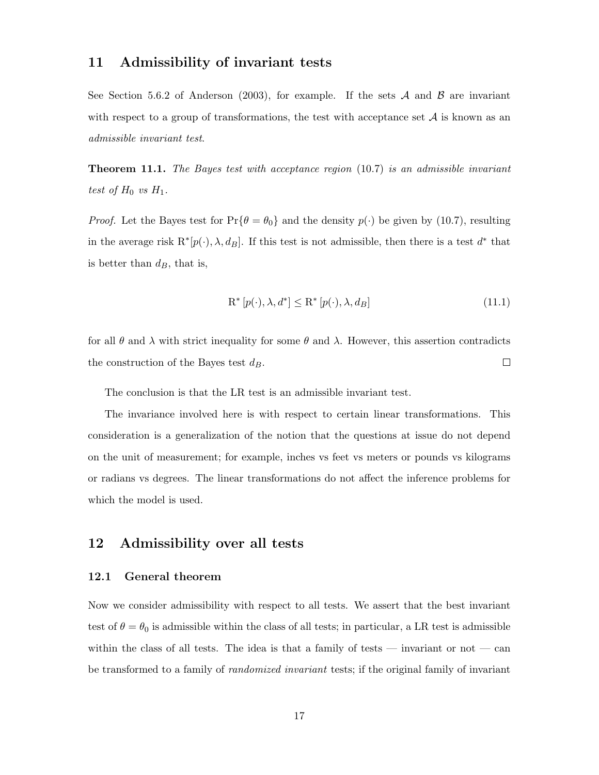#### 11 Admissibility of invariant tests

See Section 5.6.2 of Anderson (2003), for example. If the sets  $A$  and  $B$  are invariant with respect to a group of transformations, the test with acceptance set  $A$  is known as an admissible invariant test.

**Theorem 11.1.** The Bayes test with acceptance region  $(10.7)$  is an admissible invariant test of  $H_0$  vs  $H_1$ .

*Proof.* Let the Bayes test for  $Pr{\theta = \theta_0}$  and the density  $p(\cdot)$  be given by (10.7), resulting in the average risk  $R^*[p(\cdot), \lambda, d_B]$ . If this test is not admissible, then there is a test  $d^*$  that is better than  $d_B$ , that is,

$$
\mathbf{R}^* \left[ p(\cdot), \lambda, d^* \right] \le \mathbf{R}^* \left[ p(\cdot), \lambda, d_B \right] \tag{11.1}
$$

for all  $\theta$  and  $\lambda$  with strict inequality for some  $\theta$  and  $\lambda$ . However, this assertion contradicts  $\Box$ the construction of the Bayes test  $d_B$ .

The conclusion is that the LR test is an admissible invariant test.

The invariance involved here is with respect to certain linear transformations. This consideration is a generalization of the notion that the questions at issue do not depend on the unit of measurement; for example, inches vs feet vs meters or pounds vs kilograms or radians vs degrees. The linear transformations do not affect the inference problems for which the model is used.

#### 12 Admissibility over all tests

#### 12.1 General theorem

Now we consider admissibility with respect to all tests. We assert that the best invariant test of  $\theta = \theta_0$  is admissible within the class of all tests; in particular, a LR test is admissible within the class of all tests. The idea is that a family of tests — invariant or not — can be transformed to a family of *randomized invariant* tests; if the original family of invariant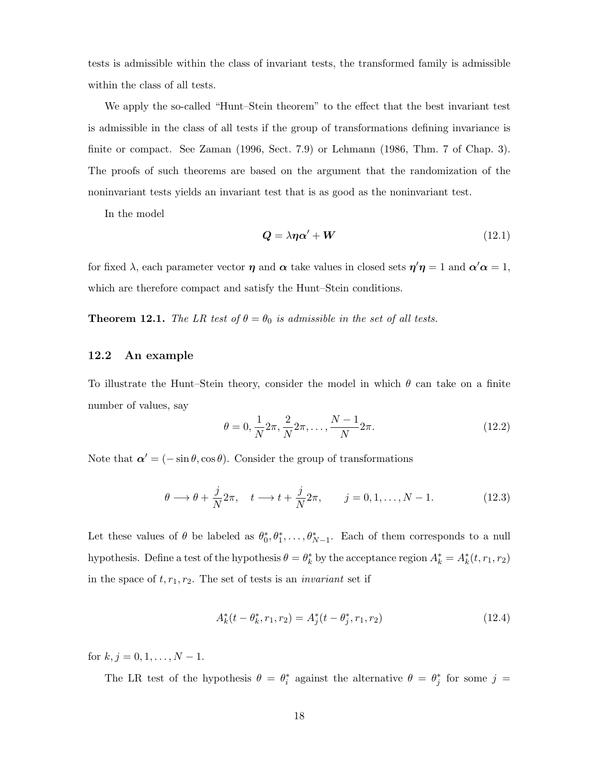tests is admissible within the class of invariant tests, the transformed family is admissible within the class of all tests.

We apply the so-called "Hunt–Stein theorem" to the effect that the best invariant test is admissible in the class of all tests if the group of transformations defining invariance is finite or compact. See Zaman (1996, Sect. 7.9) or Lehmann (1986, Thm. 7 of Chap. 3). The proofs of such theorems are based on the argument that the randomization of the noninvariant tests yields an invariant test that is as good as the noninvariant test.

In the model

$$
Q = \lambda \eta \alpha' + W \tag{12.1}
$$

for fixed  $\lambda$ , each parameter vector  $\eta$  and  $\alpha$  take values in closed sets  $\eta'\eta = 1$  and  $\alpha'\alpha = 1$ , which are therefore compact and satisfy the Hunt–Stein conditions.

**Theorem 12.1.** The LR test of  $\theta = \theta_0$  is admissible in the set of all tests.

#### 12.2 An example

To illustrate the Hunt–Stein theory, consider the model in which  $\theta$  can take on a finite number of values, say

$$
\theta = 0, \frac{1}{N} 2\pi, \frac{2}{N} 2\pi, \dots, \frac{N-1}{N} 2\pi.
$$
 (12.2)

Note that  $\alpha' = (-\sin \theta, \cos \theta)$ . Consider the group of transformations

$$
\theta \longrightarrow \theta + \frac{j}{N} 2\pi, \quad t \longrightarrow t + \frac{j}{N} 2\pi, \qquad j = 0, 1, \dots, N - 1. \tag{12.3}
$$

Let these values of  $\theta$  be labeled as  $\theta_0^*, \theta_1^*, \dots, \theta_{N-1}^*$ . Each of them corresponds to a null hypothesis. Define a test of the hypothesis  $\theta = \theta_k^*$  by the acceptance region  $A_k^* = A_k^*(t, r_1, r_2)$ in the space of  $t, r_1, r_2$ . The set of tests is an *invariant* set if

$$
A_k^*(t - \theta_k^*, r_1, r_2) = A_j^*(t - \theta_j^*, r_1, r_2)
$$
\n(12.4)

for  $k, j = 0, 1, \ldots, N - 1$ .

The LR test of the hypothesis  $\theta = \theta_i^*$  against the alternative  $\theta = \theta_j^*$  for some  $j =$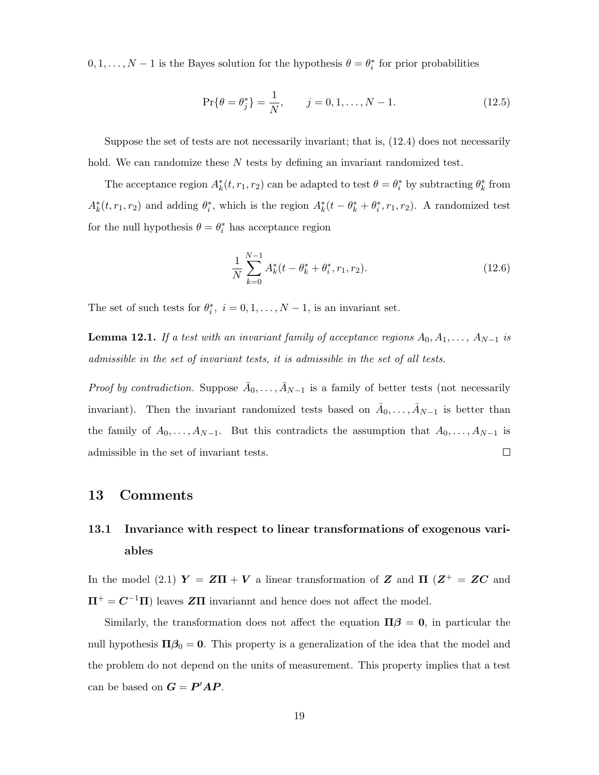$0, 1, \ldots, N-1$  is the Bayes solution for the hypothesis  $\theta = \theta_i^*$  for prior probabilities

$$
\Pr\{\theta = \theta_j^*\} = \frac{1}{N}, \qquad j = 0, 1, \dots, N - 1.
$$
 (12.5)

Suppose the set of tests are not necessarily invariant; that is, (12.4) does not necessarily hold. We can randomize these  $N$  tests by defining an invariant randomized test.

The acceptance region  $A_k^*(t, r_1, r_2)$  can be adapted to test  $\theta = \theta_i^*$  by subtracting  $\theta_k^*$  from  $A_k^*(t, r_1, r_2)$  and adding  $\theta_i^*$ , which is the region  $A_k^*(t - \theta_k^* + \theta_i^*, r_1, r_2)$ . A randomized test for the null hypothesis  $\theta = \theta_i^*$  has acceptance region

$$
\frac{1}{N} \sum_{k=0}^{N-1} A_k^*(t - \theta_k^* + \theta_i^*, r_1, r_2).
$$
\n(12.6)

The set of such tests for  $\theta_i^*$ ,  $i = 0, 1, ..., N - 1$ , is an invariant set.

**Lemma 12.1.** If a test with an invariant family of acceptance regions  $A_0, A_1, \ldots, A_{N-1}$  is admissible in the set of invariant tests, it is admissible in the set of all tests.

*Proof by contradiction.* Suppose  $\bar{A}_0, \ldots, \bar{A}_{N-1}$  is a family of better tests (not necessarily invariant). Then the invariant randomized tests based on  $\bar{A}_0, \ldots, \bar{A}_{N-1}$  is better than the family of  $A_0, \ldots, A_{N-1}$ . But this contradicts the assumption that  $A_0, \ldots, A_{N-1}$  is  $\Box$ admissible in the set of invariant tests.

#### 13 Comments

# 13.1 Invariance with respect to linear transformations of exogenous variables

In the model (2.1)  $Y = Z\Pi + V$  a linear transformation of Z and  $\Pi$  ( $Z^+ = ZC$  and  $\Pi^+ = C^{-1}\Pi$  leaves ZII invariannt and hence does not affect the model.

Similarly, the transformation does not affect the equation  $\Pi \beta = 0$ , in particular the null hypothesis  $\Pi \beta_0 = 0$ . This property is a generalization of the idea that the model and the problem do not depend on the units of measurement. This property implies that a test can be based on  $G = P'AP$ .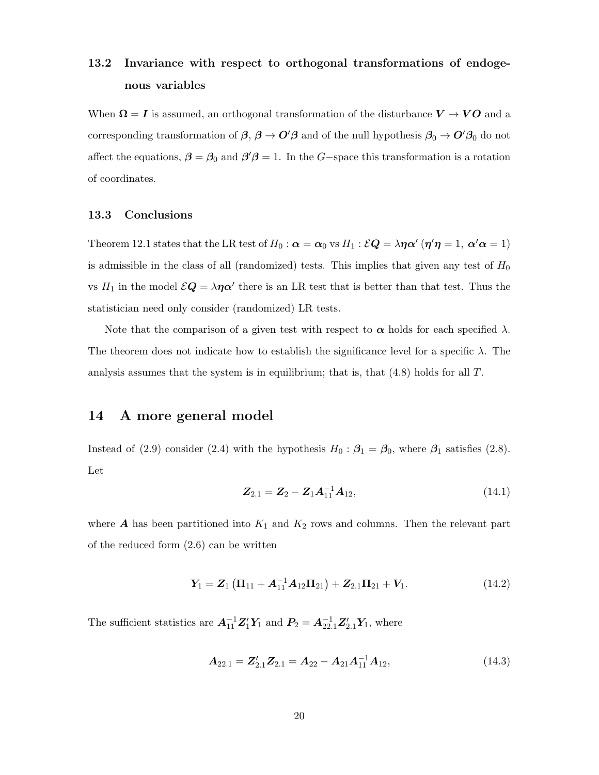# 13.2 Invariance with respect to orthogonal transformations of endogenous variables

When  $\Omega = I$  is assumed, an orthogonal transformation of the disturbance  $V \to VO$  and a corresponding transformation of  $\beta$ ,  $\beta \to O'\beta$  and of the null hypothesis  $\beta_0 \to O'\beta_0$  do not affect the equations,  $\beta = \beta_0$  and  $\beta' \beta = 1$ . In the G-space this transformation is a rotation of coordinates.

#### 13.3 Conclusions

Theorem 12.1 states that the LR test of  $H_0$  :  $\alpha = \alpha_0$  vs  $H_1$  :  $\mathcal{EQ} = \lambda \eta \alpha'$  ( $\eta' \eta = 1$ ,  $\alpha' \alpha = 1$ ) is admissible in the class of all (randomized) tests. This implies that given any test of  $H_0$ vs  $H_1$  in the model  $\mathcal{E}Q = \lambda \eta \alpha'$  there is an LR test that is better than that test. Thus the statistician need only consider (randomized) LR tests.

Note that the comparison of a given test with respect to  $\alpha$  holds for each specified  $\lambda$ . The theorem does not indicate how to establish the significance level for a specific  $\lambda$ . The analysis assumes that the system is in equilibrium; that is, that  $(4.8)$  holds for all T.

#### 14 A more general model

Instead of (2.9) consider (2.4) with the hypothesis  $H_0$ :  $\beta_1 = \beta_0$ , where  $\beta_1$  satisfies (2.8). Let

$$
Z_{2.1} = Z_2 - Z_1 A_{11}^{-1} A_{12}, \qquad (14.1)
$$

where  $\boldsymbol{A}$  has been partitioned into  $K_1$  and  $K_2$  rows and columns. Then the relevant part of the reduced form (2.6) can be written

$$
Y_1 = Z_1 (\Pi_{11} + A_{11}^{-1} A_{12} \Pi_{21}) + Z_{2.1} \Pi_{21} + V_1.
$$
 (14.2)

The sufficient statistics are  $A_{11}^{-1}Z_1'Y_1$  and  $P_2 = A_{22.1}^{-1}Z_{2.1}'Y_1$ , where

$$
\mathbf{A}_{22.1} = \mathbf{Z}_{2.1}' \mathbf{Z}_{2.1} = \mathbf{A}_{22} - \mathbf{A}_{21} \mathbf{A}_{11}^{-1} \mathbf{A}_{12},
$$
(14.3)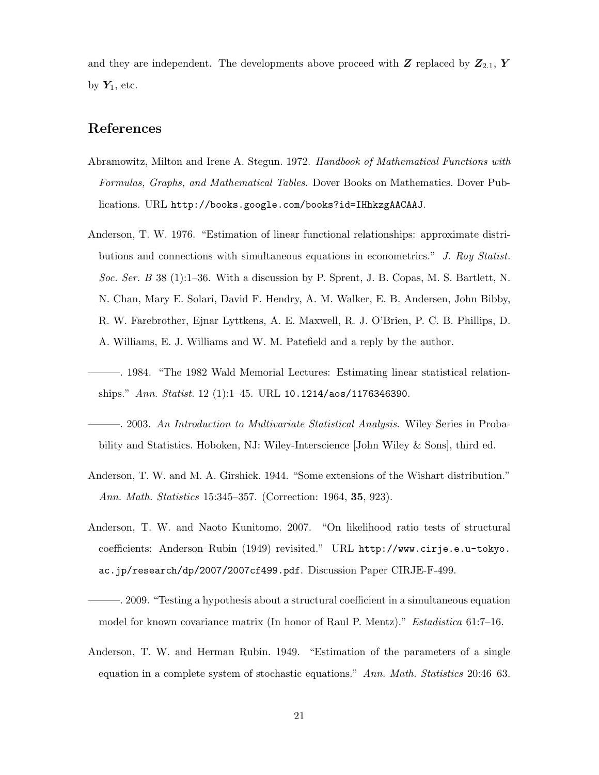and they are independent. The developments above proceed with  $Z$  replaced by  $Z_{2.1}$ ,  $Y$ by  $Y_1$ , etc.

### References

- Abramowitz, Milton and Irene A. Stegun. 1972. Handbook of Mathematical Functions with Formulas, Graphs, and Mathematical Tables. Dover Books on Mathematics. Dover Publications. URL http://books.google.com/books?id=IHhkzgAACAAJ.
- Anderson, T. W. 1976. "Estimation of linear functional relationships: approximate distributions and connections with simultaneous equations in econometrics." J. Roy Statist. Soc. Ser. B 38 (1):1–36. With a discussion by P. Sprent, J. B. Copas, M. S. Bartlett, N. N. Chan, Mary E. Solari, David F. Hendry, A. M. Walker, E. B. Andersen, John Bibby, R. W. Farebrother, Ejnar Lyttkens, A. E. Maxwell, R. J. O'Brien, P. C. B. Phillips, D. A. Williams, E. J. Williams and W. M. Patefield and a reply by the author.
- ———. 1984. "The 1982 Wald Memorial Lectures: Estimating linear statistical relationships." Ann. Statist. 12 (1):1–45. URL 10.1214/aos/1176346390.
- —. 2003. An Introduction to Multivariate Statistical Analysis. Wiley Series in Probability and Statistics. Hoboken, NJ: Wiley-Interscience [John Wiley & Sons], third ed.
- Anderson, T. W. and M. A. Girshick. 1944. "Some extensions of the Wishart distribution." Ann. Math. Statistics 15:345–357. (Correction: 1964, **35**, 923).
- Anderson, T. W. and Naoto Kunitomo. 2007. "On likelihood ratio tests of structural coefficients: Anderson–Rubin (1949) revisited." URL http://www.cirje.e.u-tokyo. ac.jp/research/dp/2007/2007cf499.pdf. Discussion Paper CIRJE-F-499.
- ———. 2009. "Testing a hypothesis about a structural coefficient in a simultaneous equation model for known covariance matrix (In honor of Raul P. Mentz)." Estadistica 61:7–16.
- Anderson, T. W. and Herman Rubin. 1949. "Estimation of the parameters of a single equation in a complete system of stochastic equations." Ann. Math. Statistics 20:46–63.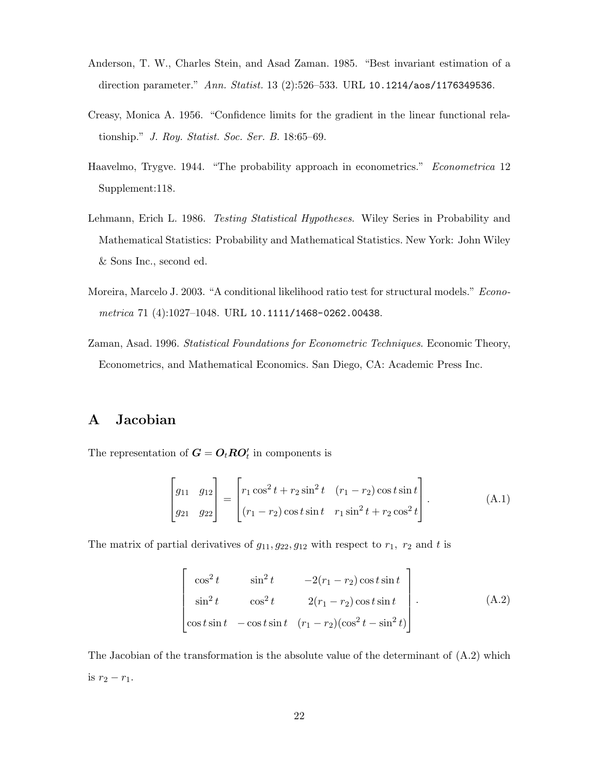- Anderson, T. W., Charles Stein, and Asad Zaman. 1985. "Best invariant estimation of a direction parameter." Ann. Statist. 13 (2):526–533. URL 10.1214/aos/1176349536.
- Creasy, Monica A. 1956. "Confidence limits for the gradient in the linear functional relationship." J. Roy. Statist. Soc. Ser. B. 18:65–69.
- Haavelmo, Trygve. 1944. "The probability approach in econometrics." Econometrica 12 Supplement:118.
- Lehmann, Erich L. 1986. *Testing Statistical Hypotheses*. Wiley Series in Probability and Mathematical Statistics: Probability and Mathematical Statistics. New York: John Wiley & Sons Inc., second ed.
- Moreira, Marcelo J. 2003. "A conditional likelihood ratio test for structural models." Econometrica 71 (4):1027–1048. URL 10.1111/1468-0262.00438.
- Zaman, Asad. 1996. Statistical Foundations for Econometric Techniques. Economic Theory, Econometrics, and Mathematical Economics. San Diego, CA: Academic Press Inc.

## A Jacobian

The representation of  $G = O_t R O_t'$  in components is

$$
\begin{bmatrix} g_{11} & g_{12} \\ g_{21} & g_{22} \end{bmatrix} = \begin{bmatrix} r_1 \cos^2 t + r_2 \sin^2 t & (r_1 - r_2) \cos t \sin t \\ (r_1 - r_2) \cos t \sin t & r_1 \sin^2 t + r_2 \cos^2 t \end{bmatrix}.
$$
 (A.1)

The matrix of partial derivatives of  $g_{11}, g_{22}, g_{12}$  with respect to  $r_1$ ,  $r_2$  and t is

$$
\begin{bmatrix}\n\cos^2 t & \sin^2 t & -2(r_1 - r_2)\cos t \sin t \\
\sin^2 t & \cos^2 t & 2(r_1 - r_2)\cos t \sin t \\
\cos t \sin t & -\cos t \sin t & (r_1 - r_2)(\cos^2 t - \sin^2 t)\n\end{bmatrix}.
$$
\n(A.2)

The Jacobian of the transformation is the absolute value of the determinant of  $(A.2)$  which is  $r_2 - r_1$ .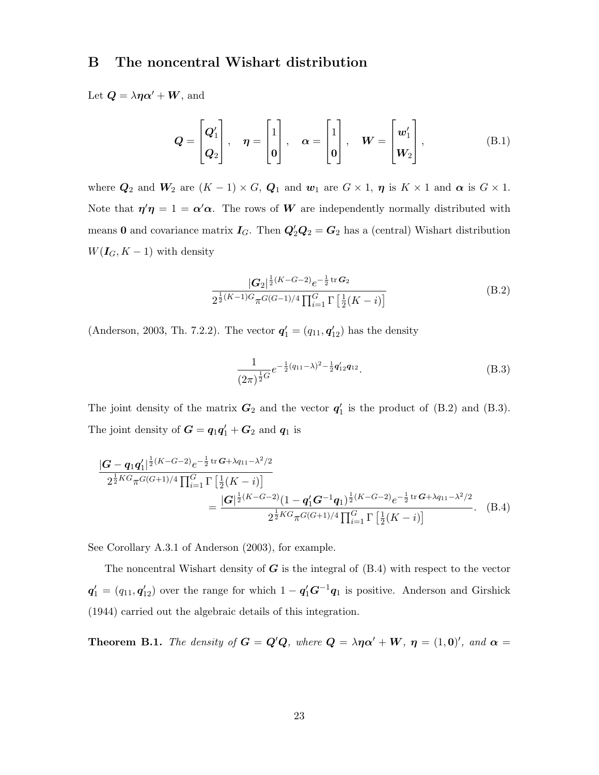#### B The noncentral Wishart distribution

Let  $\mathbf{Q} = \lambda \eta \alpha' + \mathbf{W}$ , and

$$
Q = \begin{bmatrix} Q_1' \\ Q_2 \end{bmatrix}, \quad \eta = \begin{bmatrix} 1 \\ 0 \end{bmatrix}, \quad \alpha = \begin{bmatrix} 1 \\ 0 \end{bmatrix}, \quad W = \begin{bmatrix} w_1' \\ W_2 \end{bmatrix}, \quad (B.1)
$$

where  $Q_2$  and  $W_2$  are  $(K - 1) \times G$ ,  $Q_1$  and  $w_1$  are  $G \times 1$ ,  $\eta$  is  $K \times 1$  and  $\alpha$  is  $G \times 1$ . Note that  $\eta' \eta = 1 = \alpha' \alpha$ . The rows of W are independently normally distributed with means 0 and covariance matrix  $I_G$ . Then  $Q'_2Q_2 = G_2$  has a (central) Wishart distribution  $W(I_G, K-1)$  with density

$$
\frac{|G_2|^{\frac{1}{2}(K-G-2)}e^{-\frac{1}{2}\text{tr }G_2}}{2^{\frac{1}{2}(K-1)G}\pi^{G(G-1)/4}\prod_{i=1}^G\Gamma\left[\frac{1}{2}(K-i)\right]}
$$
(B.2)

(Anderson, 2003, Th. 7.2.2). The vector  $\mathbf{q}'_1 = (q_{11}, \mathbf{q}'_{12})$  has the density

$$
\frac{1}{(2\pi)^{\frac{1}{2}G}}e^{-\frac{1}{2}(q_{11}-\lambda)^2-\frac{1}{2}q'_{12}q_{12}}.
$$
 (B.3)

The joint density of the matrix  $G_2$  and the vector  $q'_1$  is the product of (B.2) and (B.3). The joint density of  $G = q_1 q_1' + G_2$  and  $q_1$  is

$$
\frac{|G - q_1 q_1'|^{\frac{1}{2}(K - G - 2)} e^{-\frac{1}{2} tr G + \lambda q_{11} - \lambda^2/2}}{2^{\frac{1}{2}KG} \pi^{G(G+1)/4} \prod_{i=1}^{G} \Gamma\left[\frac{1}{2}(K - i)\right]}
$$
\n
$$
= \frac{|G|^{\frac{1}{2}(K - G - 2)} (1 - q_1' G^{-1} q_1)^{\frac{1}{2}(K - G - 2)} e^{-\frac{1}{2} tr G + \lambda q_{11} - \lambda^2/2}}{2^{\frac{1}{2}KG} \pi^{G(G+1)/4} \prod_{i=1}^{G} \Gamma\left[\frac{1}{2}(K - i)\right]}.
$$
\n(B.4)

See Corollary A.3.1 of Anderson (2003), for example.

The noncentral Wishart density of  $G$  is the integral of  $(B.4)$  with respect to the vector  $q'_1 = (q_{11}, q'_{12})$  over the range for which  $1 - q'_1 G^{-1} q_1$  is positive. Anderson and Girshick (1944) carried out the algebraic details of this integration.

**Theorem B.1.** The density of  $G = Q'Q$ , where  $Q = \lambda \eta \alpha' + W$ ,  $\eta = (1, 0)'$ , and  $\alpha =$